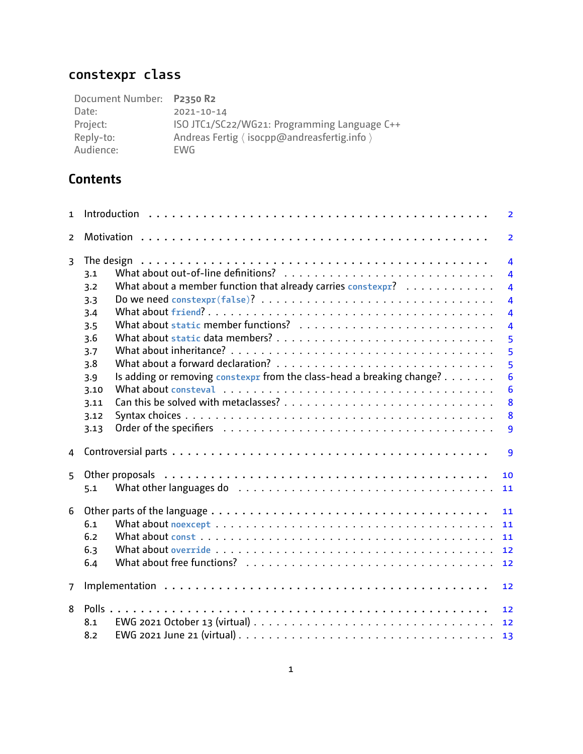# **constexpr class**

| Document Number: P2350 R2 |                                              |
|---------------------------|----------------------------------------------|
| Date:                     | $2021 - 10 - 14$                             |
| Project:                  | ISO JTC1/SC22/WG21: Programming Language C++ |
| Reply-to:                 | Andreas Fertig (isocpp@andreasfertig.info)   |
| Audience:                 | EWG                                          |

# **Contents**

| $\mathbf{1}$   |                                                                                                                                                                                                                                       | $\overline{2}$                                                                                                                                                                                |
|----------------|---------------------------------------------------------------------------------------------------------------------------------------------------------------------------------------------------------------------------------------|-----------------------------------------------------------------------------------------------------------------------------------------------------------------------------------------------|
| $\overline{2}$ |                                                                                                                                                                                                                                       | $\overline{2}$                                                                                                                                                                                |
| $\overline{3}$ | 3.1<br>What about a member function that already carries constexpr?<br>3.2<br>3.3<br>3.4<br>3.5<br>3.6<br>3.7<br>3.8<br>Is adding or removing constexpr from the class-head a breaking change?<br>3.9<br>3.10<br>3.11                 | $\overline{4}$<br>$\overline{4}$<br>$\overline{4}$<br>$\overline{\mathbf{4}}$<br>$\overline{\mathbf{4}}$<br>$\overline{\mathbf{4}}$<br>5<br>5<br>5<br>$6\phantom{1}6$<br>$6\phantom{1}6$<br>8 |
|                | 3.12<br>3.13                                                                                                                                                                                                                          | 8<br>9                                                                                                                                                                                        |
| 4              |                                                                                                                                                                                                                                       | 9                                                                                                                                                                                             |
| 5              | What other languages do educational contracts in the contracts of the contracts of the contracts of the contracts of the contracts of the contracts of the contracts of the contracts of the contracts of the contracts of the<br>5.1 | 10<br>11                                                                                                                                                                                      |
| 6              | 6.1<br>6.2<br>6.3<br>6.4                                                                                                                                                                                                              | 11<br>11<br>11<br>12<br>12                                                                                                                                                                    |
| $\overline{7}$ |                                                                                                                                                                                                                                       | 12                                                                                                                                                                                            |
| 8              | 8.1<br>8.2                                                                                                                                                                                                                            | 12<br>13                                                                                                                                                                                      |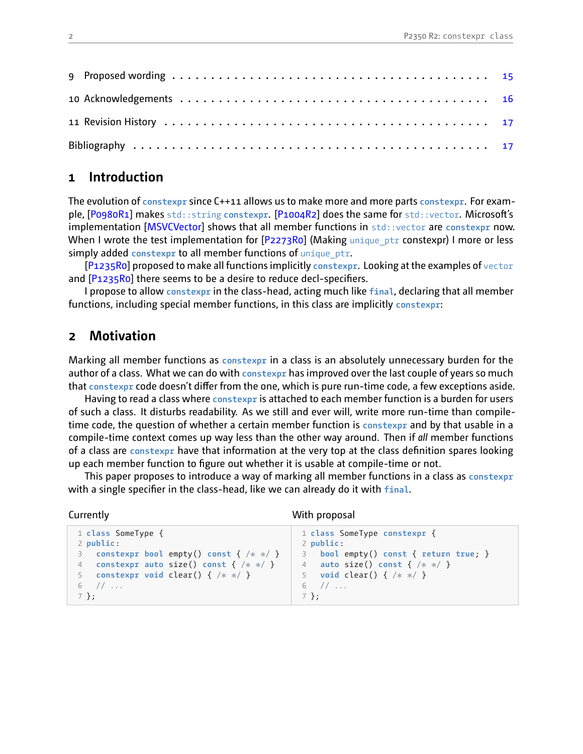# <span id="page-1-0"></span>**1 Introduction**

The evolution of **constexpr** since C++11 allows us to make more and more parts **constexpr**. For example, [\[P0980R1](#page-16-2)] makes std::string **constexpr**.[[P1004R2\]](#page-16-3) does the same for std::vector. Microsoft's implementation[[MSVCVector](#page-16-4)] shows that all member functions in std::vector are constexpr now. WhenI wrote the test implementation for  $[P2273R0]$  $[P2273R0]$  (Making unique ptr constexpr) I more or less simply added **constexpr** to all member functions of unique\_ptr.

[\[P1235R0\]](#page-16-6) proposed to make all functions implicitly **constexpr**. Looking at the examples of vector and  $[P1235R0]$  there seems to be a desire to reduce decl-specifiers.

I propose to allow **constexpr** in the classhead, acting much like **final**, declaring that all member functions, including special member functions, in this class are implicitly **constexpr**:

# <span id="page-1-1"></span>**2 Motivation**

Marking all member functions as **constexpr** in a class is an absolutely unnecessary burden for the author of a class. What we can do with **constexpr** has improved over the last couple of years so much that constexpr code doesn't differ from the one, which is pure run-time code, a few exceptions aside.

Having to read a class where **constexpr** is attached to each member function is a burden for users of such a class. It disturbs readability. As we still and ever will, write more runtime than compiletime code, the question of whether a certain member function is **constexpr** and by that usable in a compile-time context comes up way less than the other way around. Then if *all* member functions of a class are **constexpr** have that information at the very top at the class definition spares looking up each member function to figure out whether it is usable at compile-time or not.

This paper proposes to introduce a way of marking all member functions in a class as **constexpr** with a single specifier in the class-head, like we can already do it with final.

```
Currently
```
With proposal

```
1 class SomeType {
2 public:
3 constexpr bool empty() const { /* *
/ }
4 constexpr auto size() const { /* *
/ }
5 constexpr void clear() { /* *
/ }
6 // ...
7 };
                                              1 class SomeType constexpr {
                                              2 public:
                                              3 bool empty() const { return true; }
                                               4 auto size() const { /* *
/ }
                                               5 void clear() { /* *
/ }
                                              6 11 ...7 };
```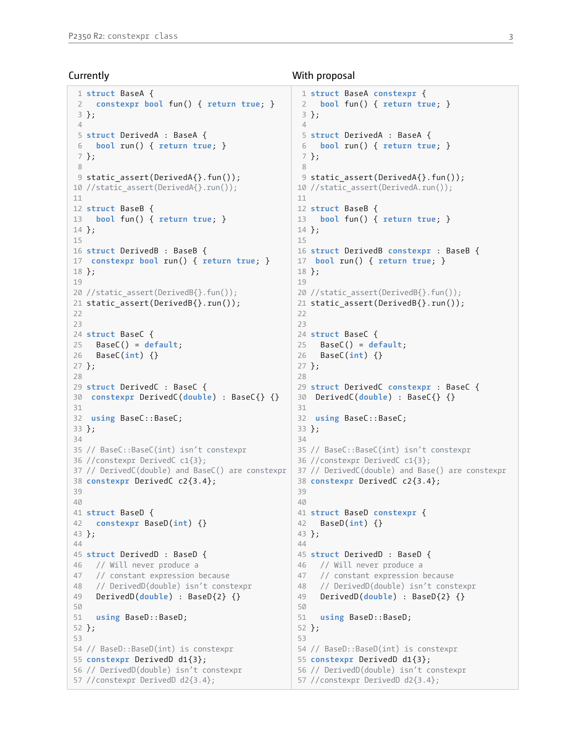#### **Currently**

```
1 struct BaseA {
 2 constexpr bool fun() { return true; }
3 };
 4
 5 struct DerivedA : BaseA {
 6 bool run() { return true; }
7 };
 8
9 static_assert(DerivedA{}.fun());
10 //static_assert(DerivedA{}.run());
11
12 struct BaseB {
13 bool fun() { return true; }
14 };
15
16 struct DerivedB : BaseB {
17 constexpr bool run() { return true; }
18 };
19
20 //static_assert(DerivedB{}.fun());
21 static assert(DerivedB{}.run());
22
23
24 struct BaseC {
25 BaseC() = default;
26 BaseC(int) {}
27 };
28
29 struct DerivedC : BaseC {
30 constexpr DerivedC(double) : BaseC{} {}
31
32 using BaseC::BaseC;
33 };
34
35 // BaseC::BaseC(int) isn't constexpr
36 //constexpr DerivedC c1{3};
37 // DerivedC(double) and BaseC() are constexpr
38 constexpr DerivedC c2{3.4};
39
40
41 struct BaseD {
42 constexpr BaseD(int) {}
43 };
\Delta\Delta45 struct DerivedD : BaseD {
46 // Will never produce a
47 // constant expression because
48 // DerivedD(double) isn't constexpr
49 DerivedD(double) : BaseD{2} {}
50
51 using BaseD::BaseD;
52 };
53
54 // BaseD::BaseD(int) is constexpr
55 constexpr DerivedD d1{3};
56 // DerivedD(double) isn't constexpr
57 //constexpr DerivedD d2{3.4};
```
### With proposal

```
1 struct BaseA constexpr {
 2 bool fun() { return true; }
3 };
 4
 5 struct DerivedA : BaseA {
 6 bool run() { return true; }
7 };
8
9 static_assert(DerivedA{}.fun());
10 //static_assert(DerivedA.run());
11
12 struct BaseB {
13 bool fun() { return true; }
14 };
15
16 struct DerivedB constexpr : BaseB {
17 bool run() { return true; }
18 };
19
20 //static_assert(DerivedB{}.fun());
21 static assert(DerivedB{}.run());
22
23
24 struct BaseC {
25 BaseC() = default;
26 BaseC(int) {}
27 };
28
29 struct DerivedC constexpr : BaseC {
30 DerivedC(double) : BaseC{} {}
31
32 using BaseC::BaseC;
33 };
34
35 // BaseC::BaseC(int) isn't constexpr
36 //constexpr DerivedC c1{3};
37 // DerivedC(double) and Base() are constexpr
38 constexpr DerivedC c2{3.4};
39
40
41 struct BaseD constexpr {
42 BaseD(int) {}
43 };
\Delta\Delta45 struct DerivedD : BaseD {
46 // Will never produce a
47 // constant expression because
48 // DerivedD(double) isn't constexpr
49 DerivedD(double) : BaseD{2} {}
50
51 using BaseD::BaseD;
52 };
53
54 // BaseD::BaseD(int) is constexpr
55 constexpr DerivedD d1{3};
56 // DerivedD(double) isn't constexpr
57 //constexpr DerivedD d2{3.4};
```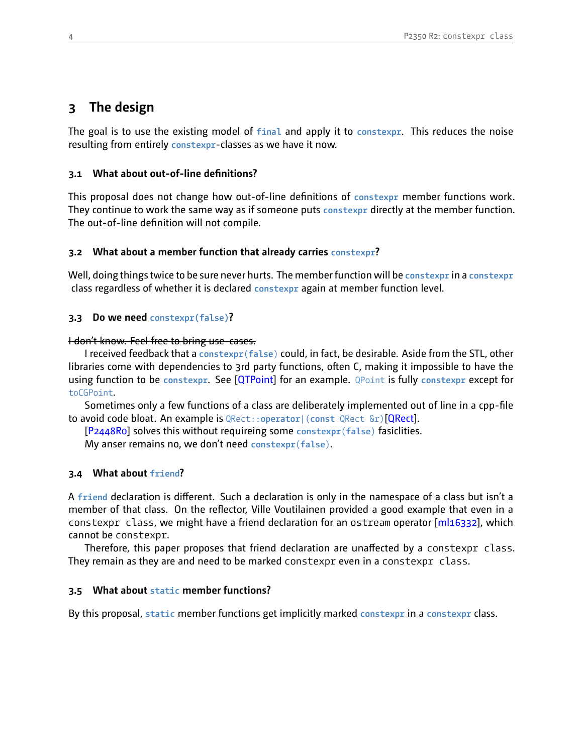# <span id="page-3-0"></span>**3 The design**

The goal is to use the existing model of **final** and apply it to **constexpr**. This reduces the noise resulting from entirely constexpr-classes as we have it now.

### <span id="page-3-1"></span>**3.1 What about out-of-line definitions?**

This proposal does not change how out-of-line definitions of constexpr member functions work. They continue to work the same way as if someone puts **constexpr** directly at the member function. The out-of-line definition will not compile.

### <span id="page-3-2"></span>**3.2 What about a member function that already carries constexpr?**

Well, doing things twice to be sure never hurts. The member function will be **constexpr** in a **constexpr** class regardless of whether it is declared **constexpr** again at member function level.

### <span id="page-3-3"></span>**3.3 Do we need constexpr(false)?**

#### I don't know. Feel free to bring use-cases.

I received feedback that a **constexpr**(**false**) could, in fact, be desirable. Aside from the STL, other libraries come with dependencies to 3rd party functions, often C, making it impossible to have the using function to be **constexpr**. See[[QTPoint](#page-17-0)] for an example. QPoint is fully **constexpr** except for toCGPoint.

Sometimes only a few functions of a class are deliberately implemented out of line in a cpp-file to avoid code bloat. An example is QRect::**operator**|(**const** QRect &r)[\[QRect\]](#page-17-1).

[\[P2448R0\]](#page-16-7) solves this without requireing some **constexpr**(**false**) fasiclities.

My anser remains no, we don't need **constexpr**(**false**).

### <span id="page-3-4"></span>**3.4 What about friend?**

A **friend** declaration is different. Such a declaration is only in the namespace of a class but isn't a member of that class. On the reflector, Ville Voutilainen provided a good example that even in a constexprclass, we might have a friend declaration for an ostream operator [[ml16332](#page-17-2)], which cannot be constexpr.

Therefore, this paper proposes that friend declaration are unaffected by a constexpr class. They remain as they are and need to be marked constexpr even in a constexpr class.

### <span id="page-3-5"></span>**3.5 What about static member functions?**

By this proposal, **static** member functions get implicitly marked **constexpr** in a **constexpr** class.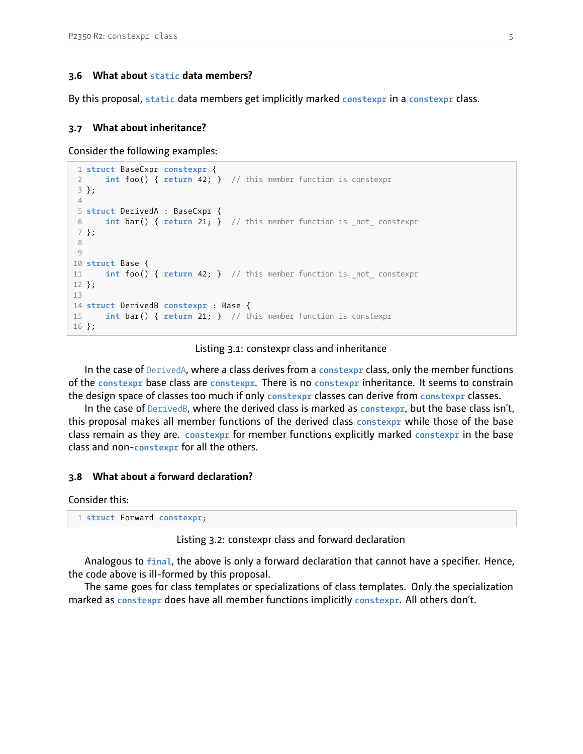### <span id="page-4-0"></span>**3.6 What about static data members?**

By this proposal, **static** data members get implicitly marked **constexpr** in a **constexpr** class.

### <span id="page-4-1"></span>**3.7 What about inheritance?**

Consider the following examples:

```
1 struct BaseCxpr constexpr {
 2 int foo() { return 42; } // this member function is constexpr
 3 };
 4
 5 struct DerivedA : BaseCxpr {
 6 int bar() { return 21; } // this member function is _not_ constexpr
7 };
 8
9
10 struct Base {
11 int foo() { return 42; } // this member function is _not_ constexpr
12 };
13
14 struct DerivedB constexpr : Base {
15 int bar() { return 21; } // this member function is constexpr
16 };
```
#### Listing 3.1: constexpr class and inheritance

In the case of DerivedA, where a class derives from a **constexpr** class, only the member functions of the **constexpr** base class are **constexpr**. There is no **constexpr** inheritance. It seems to constrain the design space of classes too much if only **constexpr** classes can derive from **constexpr** classes.

In the case of DerivedB, where the derived class is marked as **constexpr**, but the base class isn't, this proposal makes all member functions of the derived class **constexpr** while those of the base class remain as they are. **constexpr** for member functions explicitly marked **constexpr** in the base class and non**constexpr** for all the others.

### <span id="page-4-2"></span>**3.8 What about a forward declaration?**

Consider this:

1 **struct** Forward **constexpr**;

```
Listing 3.2: constexpr class and forward declaration
```
Analogous to **final**, the above is only a forward declaration that cannot have a specifier. Hence, the code above is ill-formed by this proposal.

The same goes for class templates or specializations of class templates. Only the specialization marked as **constexpr** does have all member functions implicitly **constexpr**. All others don't.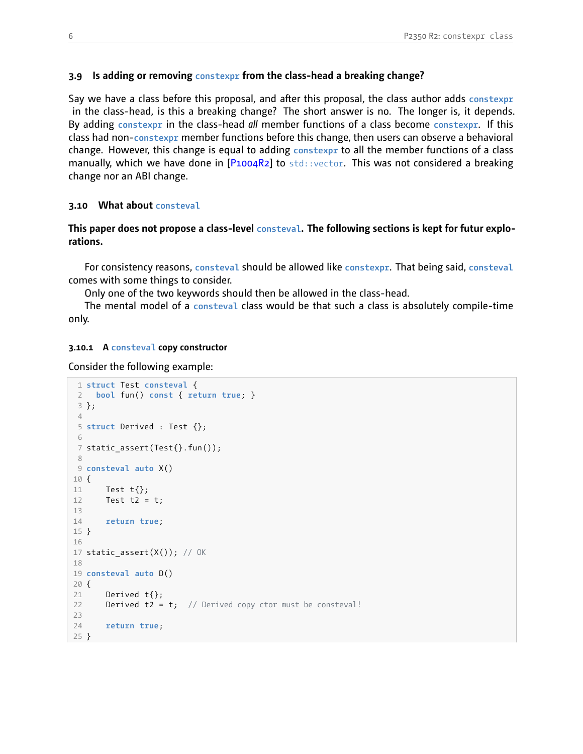### <span id="page-5-0"></span>**3.9 Is adding or removing constexpr from the classhead a breaking change?**

Say we have a class before this proposal, and after this proposal, the class author adds **constexpr** in the class-head, is this a breaking change? The short answer is no. The longer is, it depends. By adding **constexpr** in the classhead *all* member functions of a class become **constexpr**. If this class had non**constexpr** member functions before this change, then users can observe a behavioral change. However, this change is equal to adding **constexpr** to all the member functions of a class manually, which we have done in  $[P1004R2]$  to std::vector. This was not considered a breaking change nor an ABI change.

#### <span id="page-5-1"></span>**3.10 What about consteval**

### **This paper does not propose a class-level consteval. The following sections is kept for futur explorations.**

For consistency reasons, **consteval** should be allowed like **constexpr**. That being said, **consteval** comes with some things to consider.

Only one of the two keywords should then be allowed in the class-head.

The mental model of a **consteval** class would be that such a class is absolutely compiletime only.

#### **3.10.1 A consteval copy constructor**

Consider the following example:

```
1 struct Test consteval {
 2 bool fun() const { return true; }
3 };
 4
 5 struct Derived : Test {};
 6
 7 static_assert(Test{}.fun());
 8
9 consteval auto X()
10 {
11 Test t{};
12 Test t2 = t;
13
14 return true;
15 }
16
17 static_assert(X(); // OK
18
19 consteval auto D()
20 {
21 Derived t{};
22 Derived t2 = t; // Derived copy ctor must be consteval!
23
24 return true;
25 }
```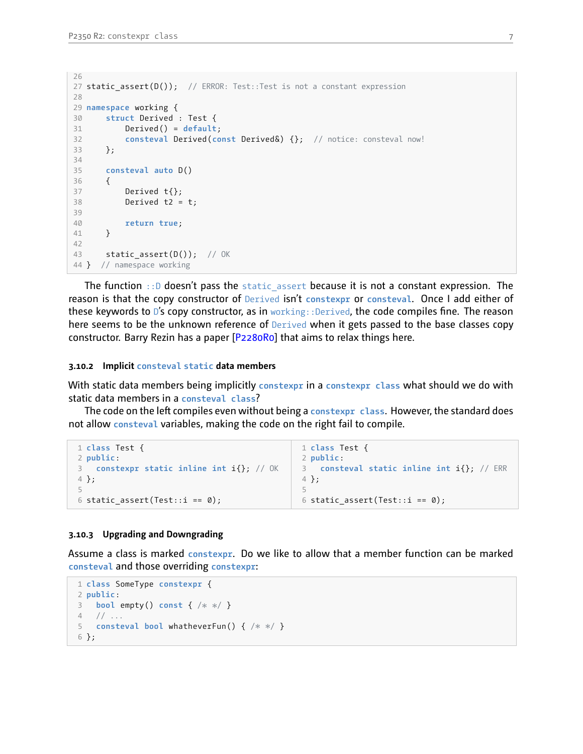```
26
27 static assert(D()); // ERROR: Test::Test is not a constant expression
28
29 namespace working {
30 struct Derived : Test {
31 Derived() = default;
32 consteval Derived(const Derived&) {}; // notice: consteval now!
33 };
34
35 consteval auto D()
36 {
37 Derived t{};
38 Derived t2 = t;
39
40 return true;
41 }
42
43 static_assert(D()); // OK
44 } // namespace working
```
The function  $\cdot$ : D doesn't pass the static assert because it is not a constant expression. The reason is that the copy constructor of Derived isn't **constexpr** or **consteval**. Once I add either of these keywords to D's copy constructor, as in working: : Derived, the code compiles fine. The reason here seems to be the unknown reference of Derived when it gets passed to the base classes copy constructor. Barry Rezin has a paper [\[P2280R0](#page-16-8)] that aims to relax things here.

#### **3.10.2 Implicit consteval static data members**

With static data members being implicitly **constexpr** in a **constexpr class** what should we do with static data members in a **consteval class**?

The code on the left compiles even without being a **constexpr class**. However, the standard does not allow **consteval** variables, making the code on the right fail to compile.

```
1 class Test {
2 public:
3 constexpr static inline int i{}; // OK
4 };
5
6 static assert(Test::i == 0);
                                               1 class Test {
                                               2 public:
                                               3 consteval static inline int i{}; // ERR
                                               4 };
                                               5
                                               6 static assert(Test::i == 0);
```
#### **3.10.3 Upgrading and Downgrading**

Assume a class is marked **constexpr**. Do we like to allow that a member function can be marked **consteval** and those overriding **constexpr**:

```
1 class SomeType constexpr {
2 public:
3 bool empty() const { /* *
/ }
4 // ...
5 consteval bool whatheverFun() { /* *
/ }
6 };
```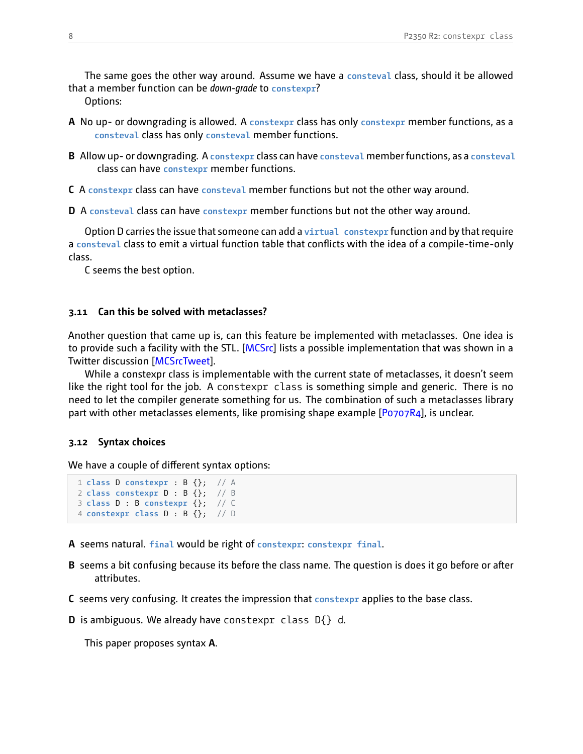The same goes the other way around. Assume we have a **consteval** class, should it be allowed that a member function can be *down-grade* to **constexpr**?

Options:

- **A** No up- or downgrading is allowed. A constexpr class has only constexpr member functions, as a **consteval** class has only **consteval** member functions.
- **B** Allow up or downgrading. A **constexpr** class can have **consteval** member functions, as a **consteval** class can have **constexpr** member functions.
- **C** A **constexpr** class can have **consteval** member functions but not the other way around.

**D** A **consteval** class can have **constexpr** member functions but not the other way around.

Option D carries the issue that someone can add a **virtual constexpr** function and by that require a consteval class to emit a virtual function table that conflicts with the idea of a compile-time-only class.

C seems the best option.

### <span id="page-7-0"></span>**3.11 Can this be solved with metaclasses?**

Another question that came up is, can this feature be implemented with metaclasses. One idea is to provide such a facility with the STL.[[MCSrc](#page-17-3)] lists a possible implementation that was shown in a Twitter discussion[[MCSrcTweet\]](#page-17-4).

While a constexpr class is implementable with the current state of metaclasses, it doesn't seem like the right tool for the job. A constexpr class is something simple and generic. There is no need to let the compiler generate something for us. The combination of such a metaclasses library part with other metaclasses elements, like promising shape example [\[P0707R4](#page-16-9)], is unclear.

#### <span id="page-7-1"></span>**3.12 Syntax choices**

We have a couple of different syntax options:

```
1 class D constexpr : B {}; // A
2 class constexpr D : B {}; // B
3 class D : B constexpr {}; // C
4 constexpr class D : B {}; // D
```
**A** seems natural. **final** would be right of **constexpr**: **constexpr final**.

- **B** seems a bit confusing because its before the class name. The question is does it go before or after attributes.
- **C** seems very confusing. It creates the impression that **constexpr** applies to the base class.
- **D** is ambiguous. We already have constexpr class D{} d.

This paper proposes syntax **A**.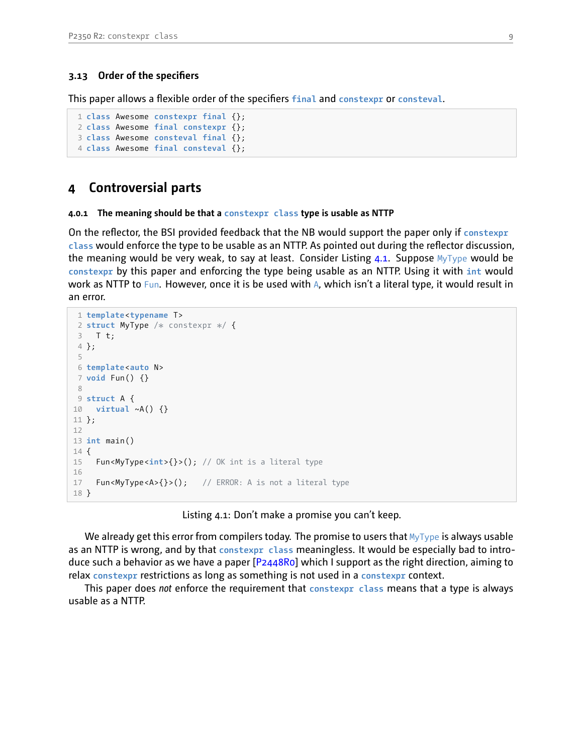### <span id="page-8-0"></span>**3.13 Order of the specifiers**

This paper allows a flexible order of the specifiers **final** and **constexpr** or **consteval**.

```
1 class Awesome constexpr final {};
2 class Awesome final constexpr {};
3 class Awesome consteval final {};
4 class Awesome final consteval {};
```
# <span id="page-8-1"></span>**4 Controversial parts**

#### **4.0.1 The meaning should be that a constexpr class type is usable as NTTP**

On the reflector, the BSI provided feedback that the NB would support the paper only if **constexpr class** would enforce the type to be usable as an NTTP. As pointed out during the reflector discussion, the meaning would be very weak, to say at least. Consider Listing  $4.1$ . Suppose  $MyType$  would be **constexpr** by this paper and enforcing the type being usable as an NTTP. Using it with **int** would work as NTTP to Fun. However, once it is be used with A, which isn't a literal type, it would result in an error.

```
1 template<typename T>
 2 struct MyType /*
constexpr *
/ {
 3 T t;
 4 };
 5
 6 template<auto N>
7 void Fun() {}
8
9 struct A {
10 virtual ~A() {}
11 };
12
13 int main()
14 {
15 Fun<MyType<int>{}>(); // OK int is a literal type
16
17 Fun<MyType<A>{}>(); // ERROR: A is not a literal type
18 }
```
#### Listing 4.1: Don't make a promise you can't keep.

We already get this error from compilers today. The promise to users that  $MyType$  is always usable as an NTTP is wrong, and by that **constexpr class** meaningless. It would be especially bad to introduce such a behavior as we have a paper[[P2448R0\]](#page-16-7) which I support as the right direction, aiming to relax **constexpr** restrictions as long as something is not used in a **constexpr** context.

This paper does *not* enforce the requirement that **constexpr class** means that a type is always usable as a NTTP.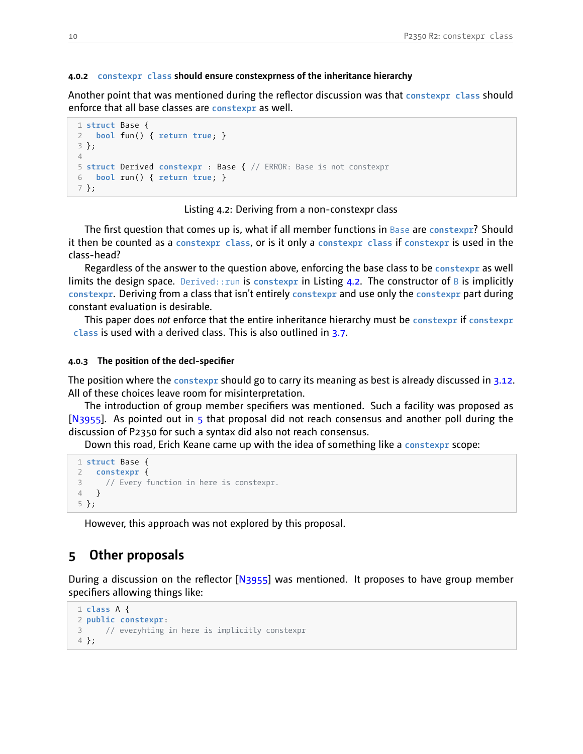#### **4.0.2 constexpr class should ensure constexprness of the inheritance hierarchy**

Another point that was mentioned during the reflector discussion was that **constexpr class** should enforce that all base classes are **constexpr** as well.

```
1 struct Base {
2 bool fun() { return true; }
3 };
4
5 struct Derived constexpr : Base { // ERROR: Base is not constexpr
6 bool run() { return true; }
7 };
```
### Listing 4.2: Deriving from a non-constexpr class

The first question that comes up is, what if all member functions in Base are **constexpr**? Should it then be counted as a **constexpr class**, or is it only a **constexpr class** if **constexpr** is used in the class-head?

Regardless of the answer to the question above, enforcing the base class to be **constexpr** as well limits the design space. Derived:: run is constexpr in Listing [4.2](#page-9-1). The constructor of B is implicitly **constexpr**. Deriving from a class that isn't entirely **constexpr** and use only the **constexpr** part during constant evaluation is desirable.

This paper does *not* enforce that the entire inheritance hierarchy must be **constexpr** if **constexpr class** is used with a derived class. This is also outlined in [3.7.](#page-4-1)

### **4.0.3** The position of the decl-specifier

The position where the **constexpr** should go to carry its meaning as best is already discussed in [3.12](#page-7-1). All of these choices leave room for misinterpretation.

The introduction of group member specifiers was mentioned. Such a facility was proposed as [[N3955](#page-16-10)]. As pointed out in [5](#page-9-0) that proposal did not reach consensus and another poll during the discussion of P2350 for such a syntax did also not reach consensus.

Down this road, Erich Keane came up with the idea of something like a **constexpr** scope:

```
1 struct Base {
  2 constexpr {
3 // Every function in here is constexpr.
4 }
5 };
```
<span id="page-9-0"></span>However, this approach was not explored by this proposal.

# **5 Other proposals**

During a discussion on the reflector[[N3955](#page-16-10)] was mentioned. It proposes to have group member specifiers allowing things like:

```
1 class A {
2 public constexpr:
3 // everyhting in here is implicitly constexpr
4 };
```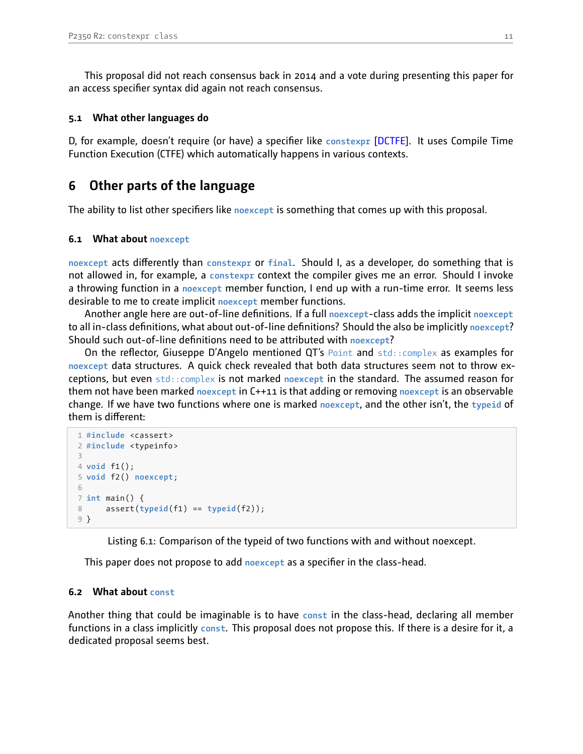This proposal did not reach consensus back in 2014 and a vote during presenting this paper for an access specifier syntax did again not reach consensus.

### <span id="page-10-0"></span>**5.1 What other languages do**

D, for example, doesn't require (or have) a specifier like **constexpr** [[DCTFE\]](#page-17-5). It uses Compile Time Function Execution (CTFE) which automatically happens in various contexts.

# <span id="page-10-1"></span>**6 Other parts of the language**

The ability to list other specifiers like **noexcept** is something that comes up with this proposal.

### <span id="page-10-2"></span>**6.1 What about noexcept**

**noexcept** acts differently than **constexpr** or **final**. Should I, as a developer, do something that is not allowed in, for example, a **constexpr** context the compiler gives me an error. Should I invoke a throwing function in a **noexcept** member function, I end up with a runtime error. It seems less desirable to me to create implicit **noexcept** member functions.

Another angle here are out-of-line definitions. If a full noexcept-class adds the implicit noexcept to all in-class definitions, what about out-of-line definitions? Should the also be implicitly noexcept? Should such out-of-line definitions need to be attributed with **noexcept**?

On the reflector, Giuseppe D'Angelo mentioned QT's Point and  $std$ :: $complex$  as examples for **noexcept** data structures. A quick check revealed that both data structures seem not to throw exceptions, but even std::complex is not marked **noexcept** in the standard. The assumed reason for them not have been marked **noexcept** in C++11 is that adding or removing **noexcept** is an observable change. If we have two functions where one is marked **noexcept**, and the other isn't, the **typeid** of them is different:

```
1 #include <cassert>
2 #include <typeinfo>
3
4 void f1();
5 void f2() noexcept;
6
7 int main() {
8 assert(typeid(f1) == typeid(f2));
9 }
```
Listing 6.1: Comparison of the typeid of two functions with and without noexcept.

This paper does not propose to add **noexcept** as a specifier in the classhead.

### <span id="page-10-3"></span>**6.2 What about const**

Another thing that could be imaginable is to have **const** in the classhead, declaring all member functions in a class implicitly **const**. This proposal does not propose this. If there is a desire for it, a dedicated proposal seems best.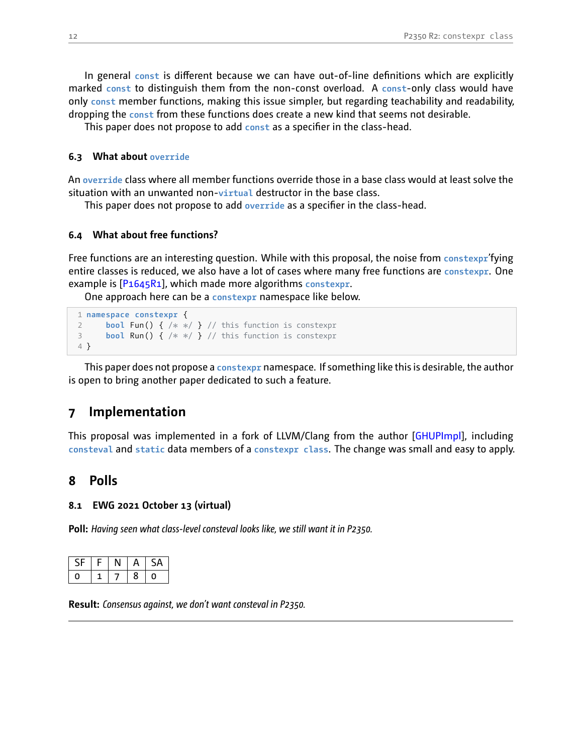In general const is different because we can have out-of-line definitions which are explicitly marked const to distinguish them from the non-const overload. A const-only class would have only **const** member functions, making this issue simpler, but regarding teachability and readability, dropping the **const** from these functions does create a new kind that seems not desirable.

This paper does not propose to add const as a specifier in the class-head.

### <span id="page-11-0"></span>**6.3 What about override**

An **override** class where all member functions override those in a base class would at least solve the situation with an unwanted non-virtual destructor in the base class.

This paper does not propose to add **override** as a specifier in the classhead.

### <span id="page-11-1"></span>**6.4 What about free functions?**

Free functions are an interesting question. While with this proposal, the noise from **constexpr**'fying entire classes is reduced, we also have a lot of cases where many free functions are **constexpr**. One example is[[P1645R1\]](#page-16-11), which made more algorithms **constexpr**.

One approach here can be a **constexpr** namespace like below.

```
1 namespace constexpr {
2 bool Fun() { /* *
/ } // this function is constexpr
3 bool Run() { /* *
/ } // this function is constexpr
4 }
```
This paper does not propose a **constexpr** namespace. If something like this is desirable, the author is open to bring another paper dedicated to such a feature.

# <span id="page-11-2"></span>**7 Implementation**

This proposal was implemented in a fork of LLVM/Clang from the author [\[GHUPImpl\]](#page-17-6), including **consteval** and **static** data members of a **constexpr class**. The change was small and easy to apply.

## <span id="page-11-3"></span>**8 Polls**

### <span id="page-11-4"></span>**8.1 EWG 2021 October 13 (virtual)**

**Poll:** *Having seen what class-level consteval looks like, we still want it in P2350.*

| . L | Ξ |   | ςд |
|-----|---|---|----|
|     |   | 8 |    |

**Result:** *Consensus against, we don't want consteval in P2350.*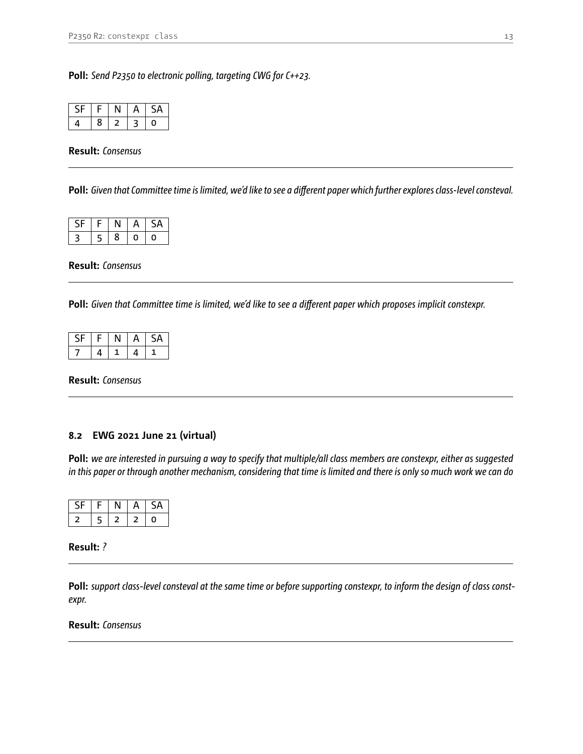**Poll:** *Send P2350 to electronic polling, targeting CWG for C++23.*

| - 16 | e. | ⊣ |  |
|------|----|---|--|
|      | 8  |   |  |

**Result:** *Consensus*

**Poll:** *Given that Committee time is limited, we'd like to see a different paper which further explores class-level consteval.*

| - L            | Æ.      |   |   |   |
|----------------|---------|---|---|---|
| $\overline{z}$ | c.<br>∍ | 8 | J | O |

**Result:** *Consensus*

**Poll:** *Given that Committee time is limited, we'd like to see a different paper which proposes implicit constexpr.*

| ≒. |   | . . | A | д |
|----|---|-----|---|---|
|    | 4 |     | 4 |   |

**Result:** *Consensus*

### <span id="page-12-0"></span>**8.2 EWG 2021 June 21 (virtual)**

**Poll:** *we are interested in pursuing a way to specify that multiple/all class members are constexpr, either as suggested in this paper or through another mechanism, considering that time is limited and there is only so much work we can do*

| - |  |  |
|---|--|--|

### **Result:** *?*

**Poll:** *support class-level consteval at the same time or before supporting constexpr, to inform the design of class constexpr.*

**Result:** *Consensus*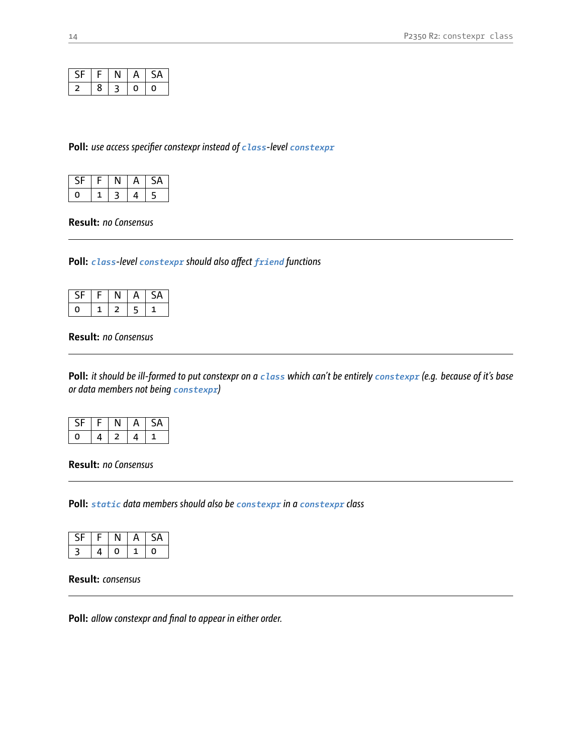| CE |   |   | A | ς,<br>JA. |
|----|---|---|---|-----------|
| っ  | 8 | 3 | 0 | O         |

**Poll:** *use access specifier constexpr instead of class-level constexpr*

|  |    | ╰<br>▵ |
|--|----|--------|
|  | щ. | 5      |

**Result:** *no Consensus*

**Poll:** *class-level constexpr should also affect friend functions*

| L. |   |   | ▵ |
|----|---|---|---|
| 0  | - | ┍ |   |

**Result:** *no Consensus*

**Poll:** *it should be ill-formed to put constexpr on a class which can't be entirely constexpr (e.g. because of it's base or data members not being constexpr)*

| ร⊾ |   |   | SА |
|----|---|---|----|
|    | 4 | 4 |    |

**Result:** *no Consensus*

**Poll:** *static data members should also be constexpr in a constexpr class*

| . L |   | ⊣ | ∸ |
|-----|---|---|---|
| っ   | Ū |   |   |

**Result:** *consensus*

**Poll:** *allow constexpr and final to appear in either order.*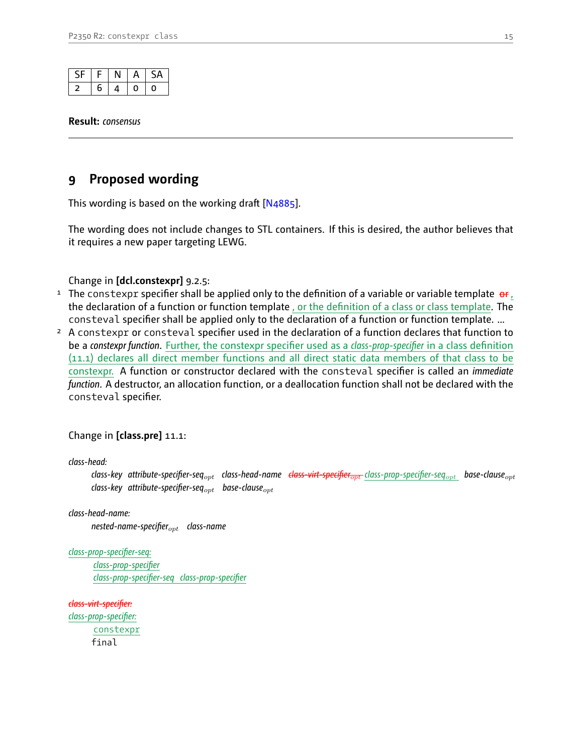|   | г | $\mathbf{a}$ |  |
|---|---|--------------|--|
| 6 |   | 0            |  |

**Result:** *consensus*

# <span id="page-14-0"></span>**9 Proposed wording**

This wording is based on the working draft [\[N4885\]](#page-16-12).

The wording does not include changes to STL containers. If this is desired, the author believes that it requires a new paper targeting LEWG.

Change in **[dcl.constexpr]** 9.2.5:

- <sup>1</sup> The constexpr specifier shall be applied only to the definition of a variable or variable template  $\sigma$ r, the declaration of a function or function template , or the definition of a class or class template. The consteval specifier shall be applied only to the declaration of a function or function template. ...
- <sup>2</sup> A constexpr or consteval specifier used in the declaration of a function declares that function to be a *constexpr function*. Further, the constexpr specifier used as a *class-prop-specifier* in a class definition (11.1) declares all direct member functions and all direct static data members of that class to be constexpr. A function or constructor declared with the consteval specifier is called an *immediate function*. A destructor, an allocation function, or a deallocation function shall not be declared with the consteval specifier.

Change in **[class.pre]** 11.1:

*class-head:*

*class-key attribute-specifier-seqopt class-head-name class-virt-specifieropt class-prop-specifier-seqopt base-clauseopt class-key attribute-specifier-seqopt base-clauseopt*

*class-head-name:*

*nested-name-specifieropt class-name*

*class-prop-specifier-seq: class-prop-specifier class-prop-specifier-seq class-prop-specifier*

*class-virt-specifier: class-prop-specifier:* constexpr final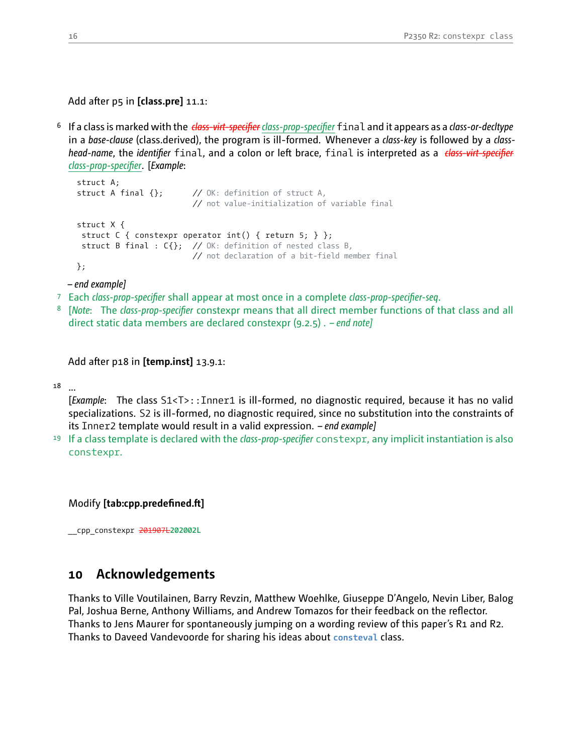Add after p5 in **[class.pre]** 11.1:

<sup>6</sup> If a class is marked with the *class-virt-specifier class-prop-specifier* final and it appears as a *class-or-decltype* in a *base-clause* (class.derived), the program is ill-formed. Whenever a *class-key* is followed by a *classhead-name*, the *identifier* final, and a colon or left brace, final is interpreted as a *class-virt-specifier class-prop-specifier*. [*Example*:

```
struct A;
struct A final {}; // OK: definition of struct A,
                         // not value-initialization of variable final
struct X {
 struct C { constexpr operator int() { return 5; } };
 struct B final : C{}; // OK: definition of nested class B,
                         // not declaration of a bit-field member final
};
```
*– end example]*

- <sup>7</sup> Each *class-prop-specifier* shall appear at most once in a complete *class-prop-specifier-seq*.
- <sup>8</sup> [*Note*: The *class-prop-specifier* constexpr means that all direct member functions of that class and all direct static data members are declared constexpr (9.2.5) . *– end note]*

Add after p18 in **[temp.inst]** 13.9.1:

<sup>18</sup> ...

[*Example*: The class S1<T>::Inner1 is ill-formed, no diagnostic required, because it has no valid specializations. S2 is ill-formed, no diagnostic required, since no substitution into the constraints of its Inner2 template would result in a valid expression. *– end example]*

<sup>19</sup> If a class template is declared with the *class-prop-specifier* constexpr, any implicit instantiation is also constexpr.

Modify **[tab:cpp.predefined.ft]**

<span id="page-15-0"></span>\_\_cpp\_constexpr 201907L**202002L**

# **10 Acknowledgements**

Thanks to Ville Voutilainen, Barry Revzin, Matthew Woehlke, Giuseppe D'Angelo, Nevin Liber, Balog Pal, Joshua Berne, Anthony Williams, and Andrew Tomazos for their feedback on the reflector. Thanks to Jens Maurer for spontaneously jumping on a wording review of this paper's R1 and R2. Thanks to Daveed Vandevoorde for sharing his ideas about **consteval** class.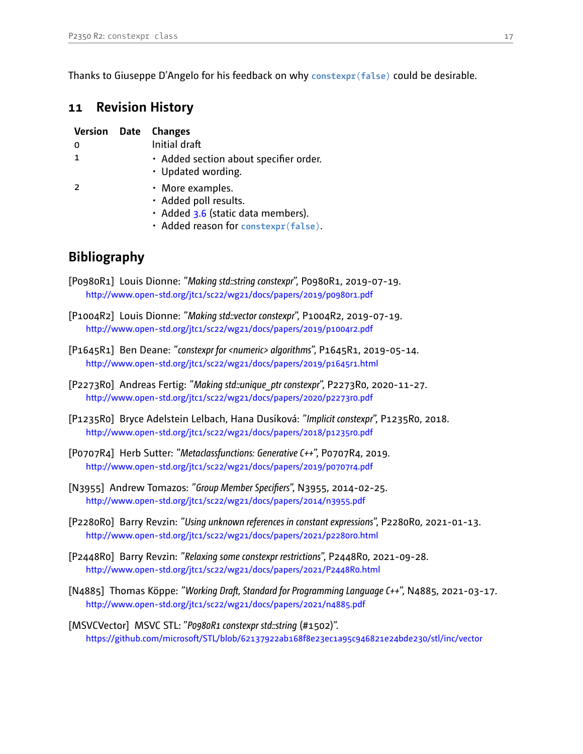<span id="page-16-0"></span>Thanks to Giuseppe D'Angelo for his feedback on why **constexpr**(**false**) could be desirable.

# **11 Revision History**

|              | <b>Version Date Changes</b>                                                                                             |
|--------------|-------------------------------------------------------------------------------------------------------------------------|
| 0            | Initial draft                                                                                                           |
| $\mathbf{1}$ | • Added section about specifier order.<br>• Updated wording.                                                            |
| <sup>2</sup> | • More examples.<br>· Added poll results.<br>· Added 3.6 (static data members).<br>· Added reason for constexpr(false). |

# <span id="page-16-1"></span>**Bibliography**

- <span id="page-16-2"></span>[P0980R1] Louis Dionne: "Making std::string constexpr", P0980R1, 2019-07-19. http://www.open-std.org/jtc1/sc22/wg21/docs/papers/2019/p0980r1.pdf
- <span id="page-16-3"></span>[P1004R2] Louis Dionne: "Making std::vector constexpr", P1004R2, 2019-07-19. http://www.open-std.org/jtc1/sc22/wg21/docs/papers/2019/p1004r2.pdf
- <span id="page-16-11"></span>[P1645R1] Ben Deane: "constexpr for <numeric> algorithms", P1645R1, 2019-05-14. http://www.open-std.org/jtc1/sc22/wg21/docs/papers/2019/p1645r1.html
- <span id="page-16-5"></span>[P2273R0] Andreas Fertig: "Making std::unique\_ptr constexpr", P2273R0, 2020-11-27. http://www.open-std.org/jtc1/sc22/wg21/docs/papers/2020/p2273r0.pdf
- <span id="page-16-6"></span>[P1235R0] Bryce Adelstein Lelbach, Hana Dusíková: "*Implicit constexpr*", P1235R0, 2018. http://www.open-std.org/jtc1/sc22/wg21/docs/papers/2018/p1235r0.pdf
- <span id="page-16-9"></span>[P0707R4] Herb Sutter: "*Metaclassfunctions: Generative C++*", P0707R4, 2019. http://www.open-std.org/jtc1/sc22/wg21/docs/papers/2019/p0707r4.pdf
- <span id="page-16-10"></span>[N<sub>3955</sub>] Andrew Tomazos: "Group Member Specifiers", N<sub>3955</sub>, 2014-02-25. http://www.open-std.org/jtc1/sc22/wg21/docs/papers/2014/n3955.pdf
- <span id="page-16-8"></span>[P2280R0] Barry Revzin: "Using unknown references in constant expressions", P2280R0, 2021-01-13. http://www.open-std.org/jtc1/sc22/wg21/docs/papers/2021/p2280r0.html
- <span id="page-16-7"></span>[P2448R0] Barry Revzin: "Relaxing some constexpr restrictions", P2448R0, 2021-09-28. http://www.open-std.org/jtc1/sc22/wg21/docs/papers/2021/P2448R0.html
- <span id="page-16-12"></span>[N4885] Thomas Köppe: "Working Draft, Standard for Programming Language C++", N4885, 2021-03-17. http://www.open-std.org/jtc1/sc22/wg21/docs/papers/2021/n4885.pdf
- <span id="page-16-4"></span>[MSVCVector] MSVC STL: "*P0980R1 constexpr std::string* (#1502)". <https://github.com/microsoft/STL/blob/62137922ab168f8e23ec1a95c946821e24bde230/stl/inc/vector>